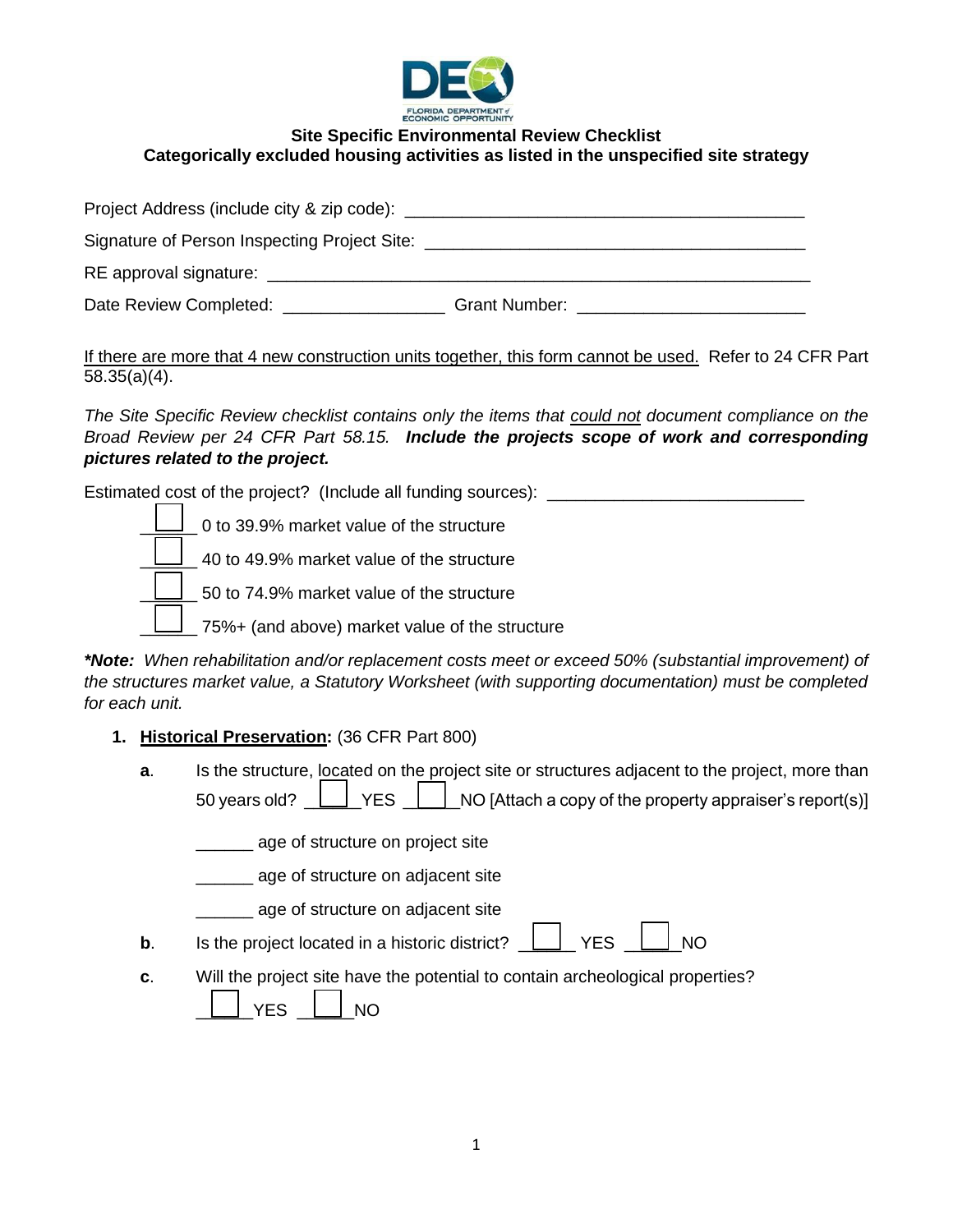

# **Site Specific Environmental Review Checklist Categorically excluded housing activities as listed in the unspecified site strategy**

| Project Address (include city & zip code): _______                               |                                                                                                                                                                                                                               |
|----------------------------------------------------------------------------------|-------------------------------------------------------------------------------------------------------------------------------------------------------------------------------------------------------------------------------|
| Signature of Person Inspecting Project Site: ___________________________________ |                                                                                                                                                                                                                               |
| RE approval signature:                                                           |                                                                                                                                                                                                                               |
| Date Review Completed: ______________                                            | Grant Number: The Contract of the Contract of the Contract of the Contract of the Contract of the Contract of the Contract of the Contract of the Contract of the Contract of the Contract of the Contract of the Contract of |

If there are more that 4 new construction units together, this form cannot be used. Refer to 24 CFR Part 58.35(a)(4).

*The Site Specific Review checklist contains only the items that could not document compliance on the Broad Review per 24 CFR Part 58.15. Include the projects scope of work and corresponding pictures related to the project.*

Estimated cost of the project? (Include all funding sources): \_\_\_\_\_\_\_\_\_\_\_\_\_\_\_\_\_\_

| $\Box$ 0 to 39.9% market value of the structure |
|-------------------------------------------------|
| 40 to 49.9% market value of the structure       |
| 50 to 74.9% market value of the structure       |
| 75%+ (and above) market value of the structure  |

*\*Note: When rehabilitation and/or replacement costs meet or exceed 50% (substantial improvement) of the structures market value, a Statutory Worksheet (with supporting documentation) must be completed for each unit.*

## **1. Historical Preservation:** (36 CFR Part 800)

**a.** Is the structure, located on the project site or structures adjacent to the project, more than 50 years old?  $\Box$  YES  $\Box$  NO [Attach a copy of the property appraiser's report(s)]

\_\_\_\_\_\_ age of structure on project site

**\_\_\_\_\_\_\_** age of structure on adjacent site

\_\_\_\_\_\_ age of structure on adjacent site

- **b**. Is the project located in a historic district?  $\Box$  YES  $\Box$  NO
	-
- **c**. Will the project site have the potential to contain archeological properties?

|--|--|--|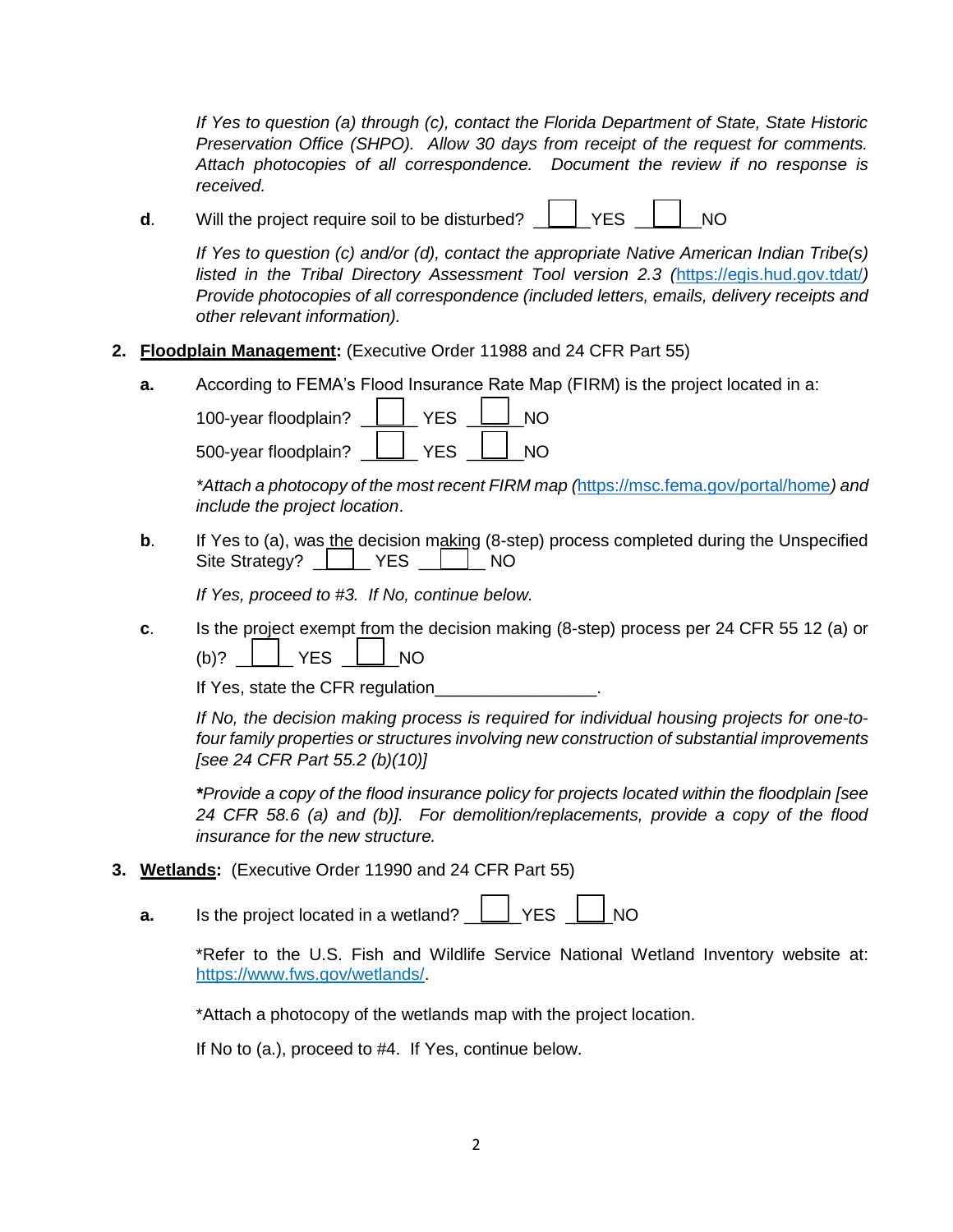*If Yes to question (a) through (c), contact the Florida Department of State, State Historic Preservation Office (SHPO). Allow 30 days from receipt of the request for comments. Attach photocopies of all correspondence. Document the review if no response is received.*

**d**. Will the project require soil to be disturbed?  $\Box$  YES  $\Box$  NO

*If Yes to question (c) and/or (d), contact the appropriate Native American Indian Tribe(s) listed in the Tribal Directory Assessment Tool version 2.3 (*<https://egis.hud.gov.tdat/>*) Provide photocopies of all correspondence (included letters, emails, delivery receipts and other relevant information).*

- **2. Floodplain Management:** (Executive Order 11988 and 24 CFR Part 55)
	- **a.** According to FEMA's Flood Insurance Rate Map (FIRM) is the project located in a:

100-year floodplain? \_\_\_\_\_\_\_\_\_ YES \_\_\_\_\_\_ NO 500-year floodplain? **LET YES LET NO** 

*\*Attach a photocopy of the most recent FIRM map (*<https://msc.fema.gov/portal/home>*) and include the project location*.

**b**. If Yes to (a), was the decision making (8-step) process completed during the Unspecified Site Strategy? | | YES | | NO

*If Yes, proceed to #3. If No, continue below.*

**c**. Is the project exempt from the decision making (8-step) process per 24 CFR 55 12 (a) or  $(b)?$  |  $YES$  | NO

If Yes, state the CFR regulation\_\_\_\_\_\_

*If No, the decision making process is required for individual housing projects for one-tofour family properties or structures involving new construction of substantial improvements [see 24 CFR Part 55.2 (b)(10)]*

*\*Provide a copy of the flood insurance policy for projects located within the floodplain [see 24 CFR 58.6 (a) and (b)]. For demolition/replacements, provide a copy of the flood insurance for the new structure.*

- **3. Wetlands:** (Executive Order 11990 and 24 CFR Part 55)
	- **a.** Is the project located in a wetland?  $\boxed{\phantom{a}}$  YES  $\phantom{a}$

\*Refer to the U.S. Fish and Wildlife Service National Wetland Inventory website at: https://www.fws.gov/wetlands/.

\*Attach a photocopy of the wetlands map with the project location.

If No to (a.), proceed to #4. If Yes, continue below.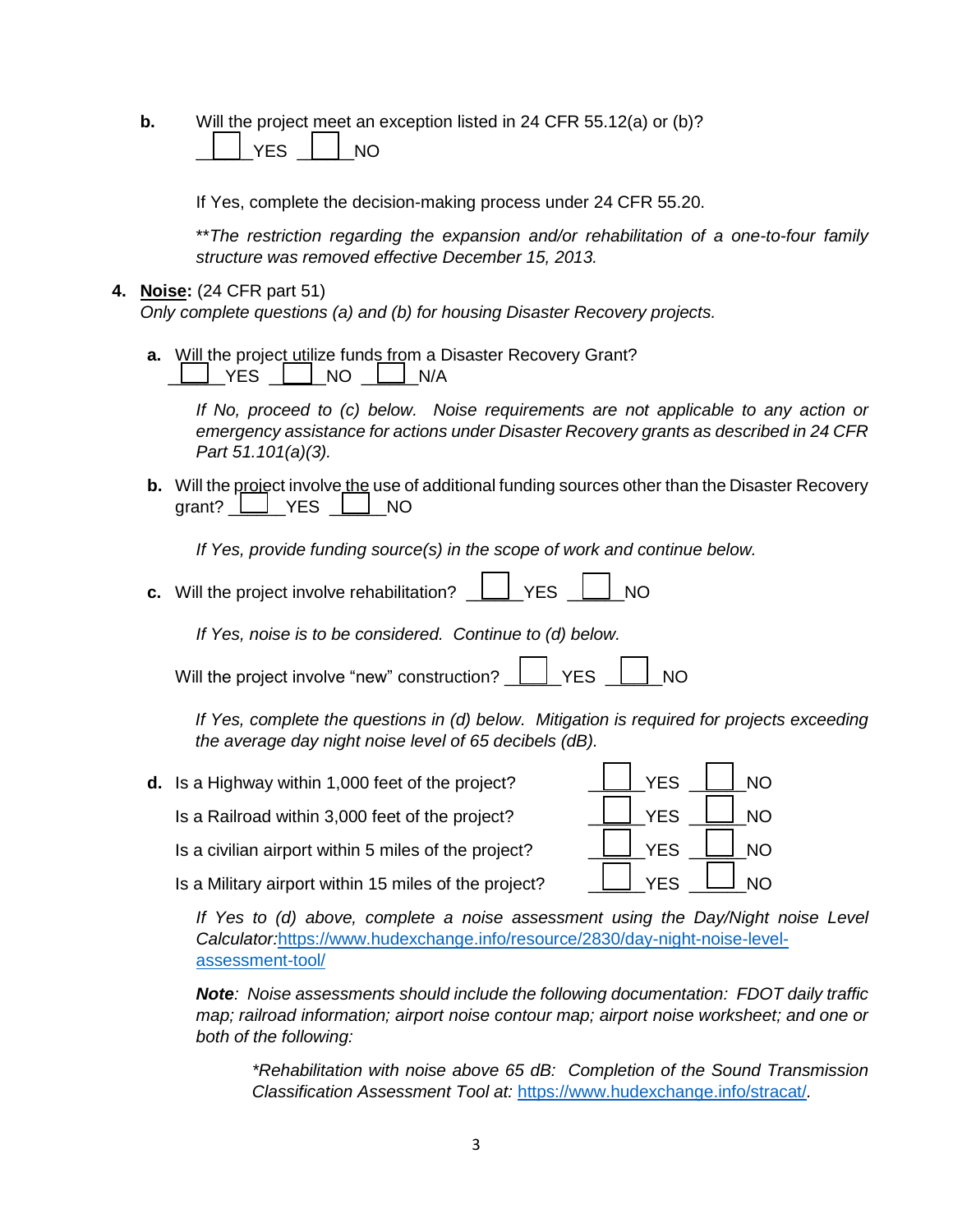**b.** Will the project meet an exception listed in 24 CFR 55.12(a) or (b)?

YES  $\parallel$  NO

If Yes, complete the decision-making process under 24 CFR 55.20.

\*\**The restriction regarding the expansion and/or rehabilitation of a one-to-four family structure was removed effective December 15, 2013.*

#### **4. Noise:** (24 CFR part 51)

*Only complete questions (a) and (b) for housing Disaster Recovery projects.*

**a.** Will the project utilize funds from a Disaster Recovery Grant?  $\Box$  YES  $\Box$  NO  $\Box$  N/A

> *If No, proceed to (c) below. Noise requirements are not applicable to any action or emergency assistance for actions under Disaster Recovery grants as described in 24 CFR Part 51.101(a)(3).*

**b.** Will the project involve the use of additional funding sources other than the Disaster Recovery grant?  $\Box$  YES  $\Box$  NO

*If Yes, provide funding source(s) in the scope of work and continue below.*

**c.** Will the project involve rehabilitation?  $\Box$  YES  $\Box$  NO

*If Yes, noise is to be considered. Continue to (d) below.*

| Will the project involve "new" construction? Luck YES Luck NO |  |  |  |  |
|---------------------------------------------------------------|--|--|--|--|
|---------------------------------------------------------------|--|--|--|--|

*If Yes, complete the questions in (d) below. Mitigation is required for projects exceeding the average day night noise level of 65 decibels (dB).*

**d.** Is a Highway within 1,000 feet of the project?  $\Box$  YES  $\Box$  NO Is a Railroad within 3,000 feet of the project?  $\Box$  YES  $\Box$  NO Is a civilian airport within 5 miles of the project?  $\Box$  YES  $\Box$  NO Is a Military airport within 15 miles of the project?  $\Box$  YES  $\Box$  NO

*If Yes to (d) above, complete a noise assessment using the Day/Night noise Level Calculator:*[https://www.hudexchange.info/resource/2830/day-night-noise-level](https://www.hudexchange.info/resource/2830/day-night-noise-level-assessment-tool/)[assessment-tool/](https://www.hudexchange.info/resource/2830/day-night-noise-level-assessment-tool/)

*Note: Noise assessments should include the following documentation: FDOT daily traffic map; railroad information; airport noise contour map; airport noise worksheet; and one or both of the following:*

*\*Rehabilitation with noise above 65 dB: Completion of the Sound Transmission Classification Assessment Tool at:* <https://www.hudexchange.info/stracat/>*.*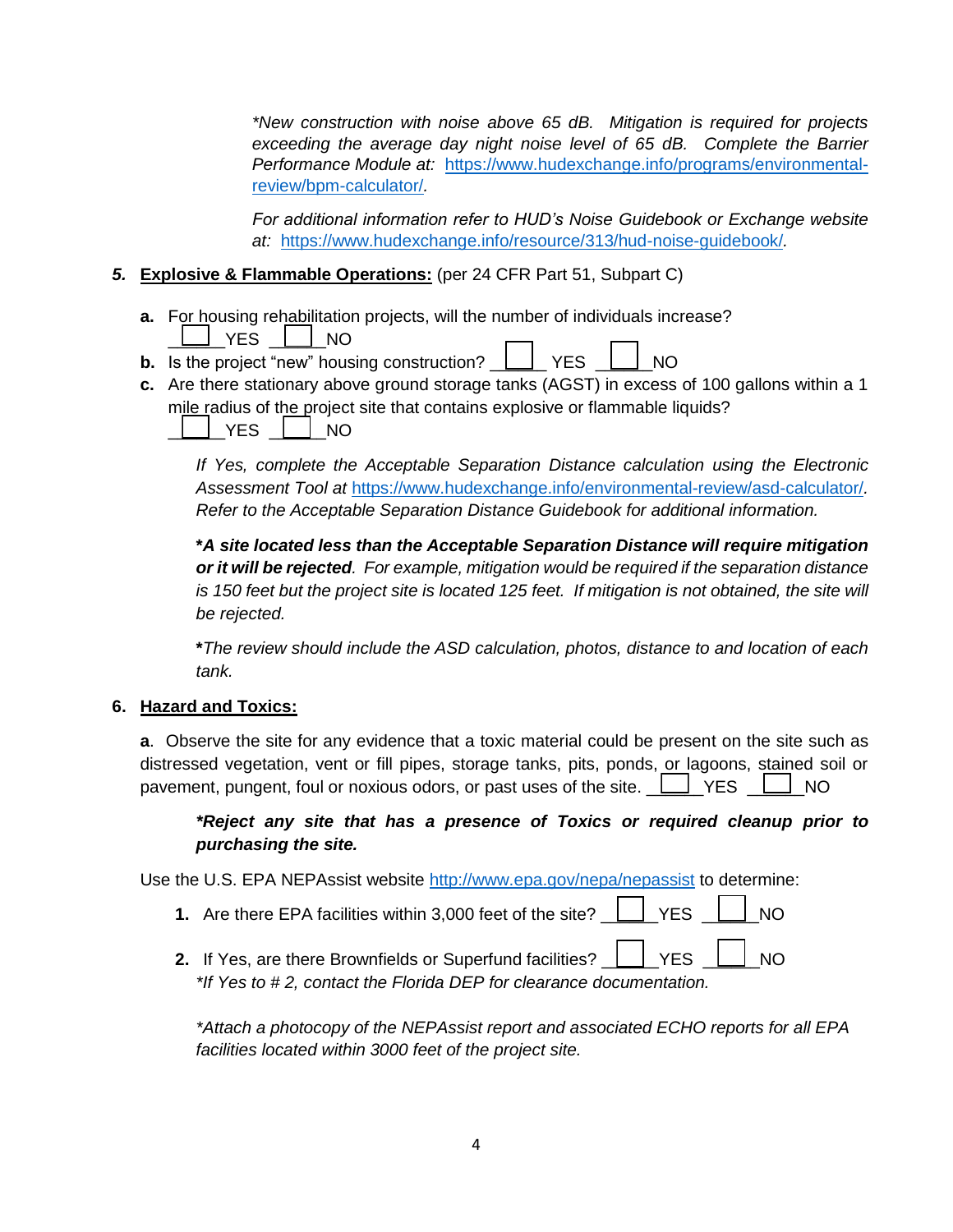*\*New construction with noise above 65 dB. Mitigation is required for projects exceeding the average day night noise level of 65 dB. Complete the Barrier Performance Module at:* [https://www.hudexchange.info/programs/environmental](https://www.hudexchange.info/programs/environmental-review/bpm-calculator/)[review/bpm-calculator/](https://www.hudexchange.info/programs/environmental-review/bpm-calculator/)*.* 

*For additional information refer to HUD's Noise Guidebook or Exchange website at:* <https://www.hudexchange.info/resource/313/hud-noise-guidebook/>*.* 

### *5.* **Explosive & Flammable Operations:** (per 24 CFR Part 51, Subpart C)

- **a.** For housing rehabilitation projects, will the number of individuals increase?  $\Box$  YES  $\Box$  NO
- **b.** Is the project "new" housing construction?  $\Box$  YES  $\Box$  NO
- **c.** Are there stationary above ground storage tanks (AGST) in excess of 100 gallons within a 1 mile radius of the project site that contains explosive or flammable liquids? YES  $\parallel$  NO

*If Yes, complete the Acceptable Separation Distance calculation using the Electronic Assessment Tool at* <https://www.hudexchange.info/environmental-review/asd-calculator/>*. Refer to the Acceptable Separation Distance Guidebook for additional information.*

**\****A site located less than the Acceptable Separation Distance will require mitigation or it will be rejected. For example, mitigation would be required if the separation distance is 150 feet but the project site is located 125 feet. If mitigation is not obtained, the site will be rejected.*

**\****The review should include the ASD calculation, photos, distance to and location of each tank.*

#### **6. Hazard and Toxics:**

**a**. Observe the site for any evidence that a toxic material could be present on the site such as distressed vegetation, vent or fill pipes, storage tanks, pits, ponds, or lagoons, stained soil or pavement, pungent, foul or noxious odors, or past uses of the site.  $\Box$  YES  $\Box$  NO

#### *\*Reject any site that has a presence of Toxics or required cleanup prior to purchasing the site.*

Use the U.S. EPA NEPAssist website<http://www.epa.gov/nepa/nepassist> to determine:

- **1.** Are there EPA facilities within 3,000 feet of the site?  $\Box$  YES  $\Box$  NO
- **2.** If Yes, are there Brownfields or Superfund facilities?  $\Box$  YES  $\Box$  NO *\*If Yes to # 2, contact the Florida DEP for clearance documentation.*

*\*Attach a photocopy of the NEPAssist report and associated ECHO reports for all EPA facilities located within 3000 feet of the project site.*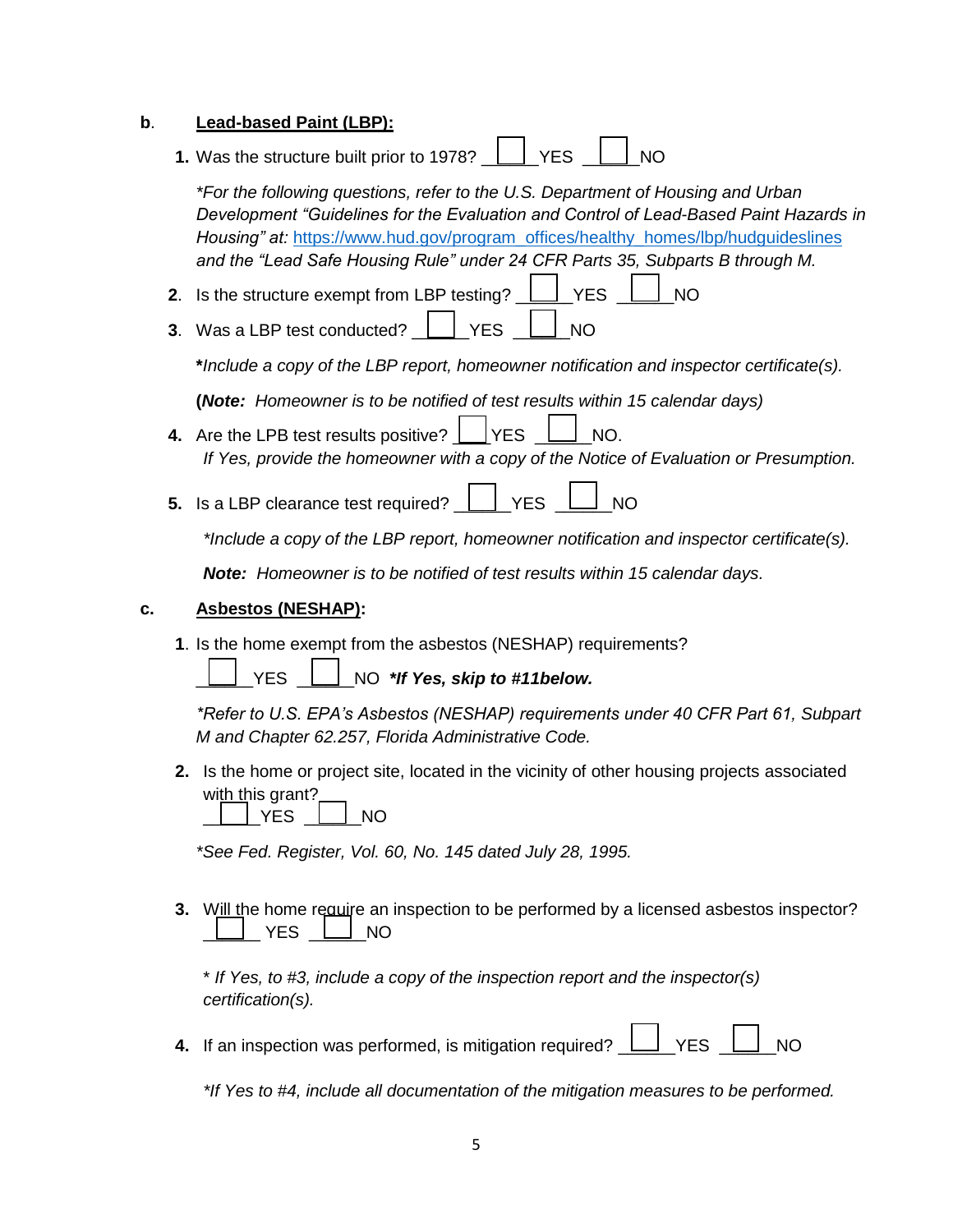#### **b**. **Lead-based Paint (LBP):**

**1.** Was the structure built prior to 1978?  $\Box$  YES  $\Box$  NO

*\*For the following questions, refer to the U.S. Department of Housing and Urban Development "Guidelines for the Evaluation and Control of Lead-Based Paint Hazards in Housing" at:* [https://www.h](https://www./)ud.gov/program\_offices/healthy\_homes/lbp/hudguideslines *and the "Lead Safe Housing Rule" under 24 CFR Parts 35, Subparts B through M.*

- **2.** Is the structure exempt from LBP testing?  $\Box$  YES  $\Box$  NO
- **3**. Was a LBP test conducted? \_\_\_\_\_\_YES \_\_\_\_\_\_NO

**\****Include a copy of the LBP report, homeowner notification and inspector certificate(s).*

**(***Note: Homeowner is to be notified of test results within 15 calendar days)*

- **4.** Are the LPB test results positive?  $\Box$  YES  $\Box$  NO. *If Yes, provide the homeowner with a copy of the Notice of Evaluation or Presumption.*
- **5.** Is a LBP clearance test required?  $\Box$  YES  $\Box$  NO

*\*Include a copy of the LBP report, homeowner notification and inspector certificate(s).*

*Note: Homeowner is to be notified of test results within 15 calendar days.*

#### **c. Asbestos (NESHAP):**

**1**. Is the home exempt from the asbestos (NESHAP) requirements?

\_\_\_\_\_\_YES \_\_\_\_\_\_NO *\*If Yes, skip to #11below.*

*\*Refer to U.S. EPA's Asbestos (NESHAP) requirements under 40 CFR Part 61, Subpart M and Chapter 62.257, Florida Administrative Code.*

**2.** Is the home or project site, located in the vicinity of other housing projects associated with this grant?

 $|$  YES  $|$   $|$  NO

*\*See Fed. Register, Vol. 60, No. 145 dated July 28, 1995.*

**3.** Will the home require an inspection to be performed by a licensed asbestos inspector?  $YES \perp \text{NO}$ 

\* *If Yes, to #3, include a copy of the inspection report and the inspector(s) certification(s).*

**4.** If an inspection was performed, is mitigation required?  $\Box$  YES

*\*If Yes to #4, include all documentation of the mitigation measures to be performed.*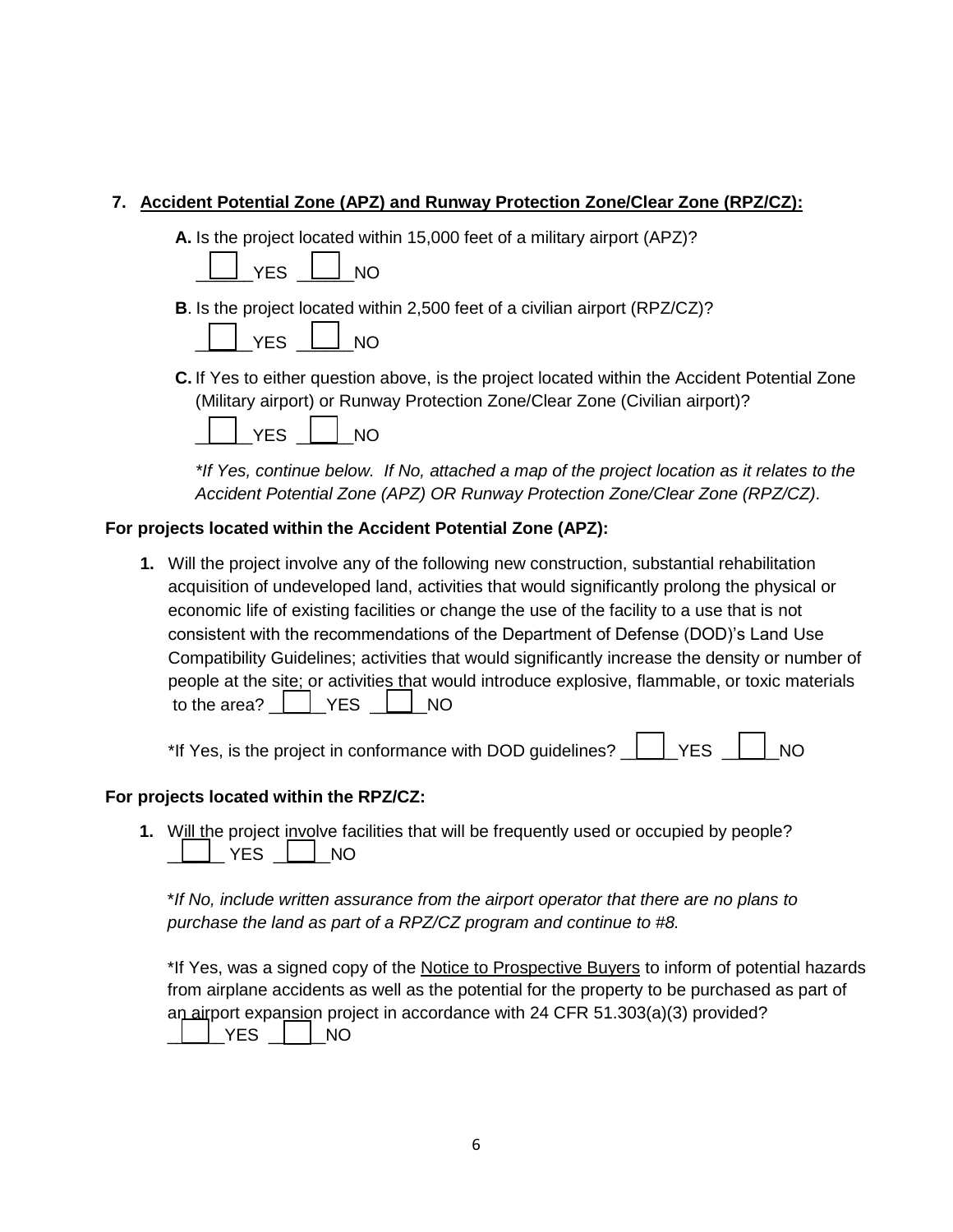## **7. Accident Potential Zone (APZ) and Runway Protection Zone/Clear Zone (RPZ/CZ):**

**A.** Is the project located within 15,000 feet of a military airport (APZ)?

|--|--|

**B**. Is the project located within 2,500 feet of a civilian airport (RPZ/CZ)?



**C.** If Yes to either question above, is the project located within the Accident Potential Zone (Military airport) or Runway Protection Zone/Clear Zone (Civilian airport)?

| ✓⊏ |  | NΟ |
|----|--|----|
|----|--|----|

*\*If Yes, continue below. If No, attached a map of the project location as it relates to the Accident Potential Zone (APZ) OR Runway Protection Zone/Clear Zone (RPZ/CZ).*

## **For projects located within the Accident Potential Zone (APZ):**

**1.** Will the project involve any of the following new construction, substantial rehabilitation acquisition of undeveloped land, activities that would significantly prolong the physical or economic life of existing facilities or change the use of the facility to a use that is not consistent with the recommendations of the Department of Defense (DOD)'s Land Use Compatibility Guidelines; activities that would significantly increase the density or number of people at the site; or activities that would introduce explosive, flammable, or toxic materials to the area? \_\_\_\_\_\_YES \_\_\_\_\_\_NO

\*If Yes, is the project in conformance with DOD guidelines?  $\Box$  YES  $\Box$  NO

## **For projects located within the RPZ/CZ:**

**1.** Will the project involve facilities that will be frequently used or occupied by people?  $\_$  YES  $\_\_\_\_$  NO

\**If No, include written assurance from the airport operator that there are no plans to purchase the land as part of a RPZ/CZ program and continue to #8.*

\*If Yes, was a signed copy of the Notice to Prospective Buyers to inform of potential hazards from airplane accidents as well as the potential for the property to be purchased as part of an airport expansion project in accordance with 24 CFR 51.303(a)(3) provided?  $\overline{\phantom{0}}$  YES  $\overline{\phantom{0}}$  NO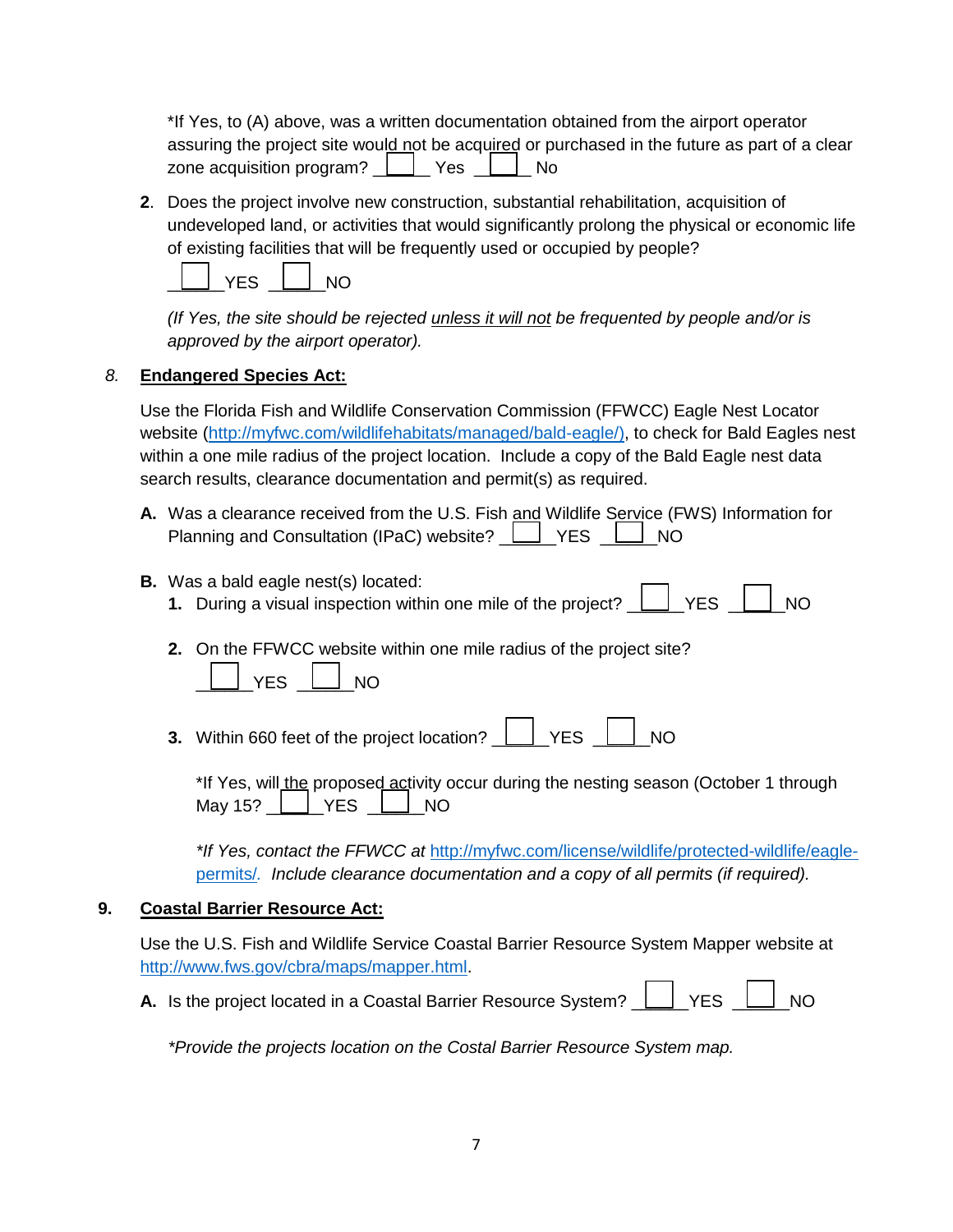\*If Yes, to (A) above, was a written documentation obtained from the airport operator assuring the project site would not be acquired or purchased in the future as part of a clear zone acquisition program?  $\Box$  Yes  $\Box$  No

**2**. Does the project involve new construction, substantial rehabilitation, acquisition of undeveloped land, or activities that would significantly prolong the physical or economic life of existing facilities that will be frequently used or occupied by people?



*(If Yes, the site should be rejected unless it will not be frequented by people and/or is approved by the airport operator).*

## *8.* **Endangered Species Act:**

Use the Florida Fish and Wildlife Conservation Commission (FFWCC) Eagle Nest Locator website [\(http://myfwc.com/wildlifehabitats/managed/bald-eagle/\)](http://myfwc.com/wildlifehabitats/managed/bald-eagle/), to check for Bald Eagles nest within a one mile radius of the project location. Include a copy of the Bald Eagle nest data search results, clearance documentation and permit(s) as required.

- **A.** Was a clearance received from the U.S. Fish and Wildlife Service (FWS) Information for Planning and Consultation (IPaC) website?  $\boxed{\phantom{a}}$  YES  $\boxed{\phantom{a}}$  NO
- **B.** Was a bald eagle nest(s) located:
	- **1.** During a visual inspection within one mile of the project?  $\Box$  YES  $\Box$  NO
	- **2.** On the FFWCC website within one mile radius of the project site?  $YES \quad \boxed{\qquad}$  NO
	- **3.** Within 660 feet of the project location?  $\boxed{\phantom{a}}$  YES  $\boxed{\phantom{a}}$  NO

| *If Yes, will the proposed activity occur during the nesting season (October 1 through May 15? The YES The NO |  |  |  |  |
|---------------------------------------------------------------------------------------------------------------|--|--|--|--|

*\*If Yes, contact the FFWCC at* [http://myfwc.com/license/wildlife/protected-wildlife/eagle](http://myfwc.com/license/wildlife/protected-wildlife/eagle-permits/)[permits/](http://myfwc.com/license/wildlife/protected-wildlife/eagle-permits/)*. Include clearance documentation and a copy of all permits (if required).*

## **9. Coastal Barrier Resource Act:**

Use the U.S. Fish and Wildlife Service Coastal Barrier Resource System Mapper website at [http://www.fws.gov/cbra/maps/mapper.html.](http://www.fws.gov/cbra/maps/mapper.html)

**A.** Is the project located in a Coastal Barrier Resource System?  $\Box$  YES  $\Box$  NO

*\*Provide the projects location on the Costal Barrier Resource System map.*